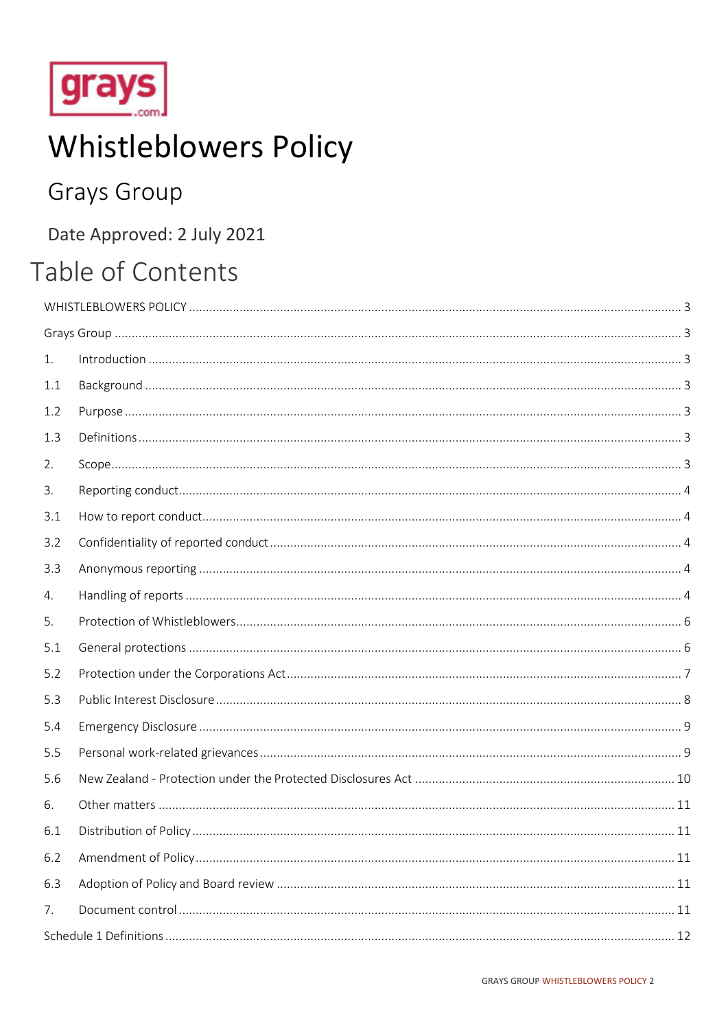

# **Whistleblowers Policy**

## **Grays Group**

## Date Approved: 2 July 2021

## Table of Contents

| 1.  |  |  |  |
|-----|--|--|--|
| 1.1 |  |  |  |
| 1.2 |  |  |  |
| 1.3 |  |  |  |
| 2.  |  |  |  |
| 3.  |  |  |  |
| 3.1 |  |  |  |
| 3.2 |  |  |  |
| 3.3 |  |  |  |
| 4.  |  |  |  |
| 5.  |  |  |  |
| 5.1 |  |  |  |
| 5.2 |  |  |  |
| 5.3 |  |  |  |
| 5.4 |  |  |  |
| 5.5 |  |  |  |
| 5.6 |  |  |  |
| 6.  |  |  |  |
| 6.1 |  |  |  |
| 6.2 |  |  |  |
| 6.3 |  |  |  |
| 7.  |  |  |  |
|     |  |  |  |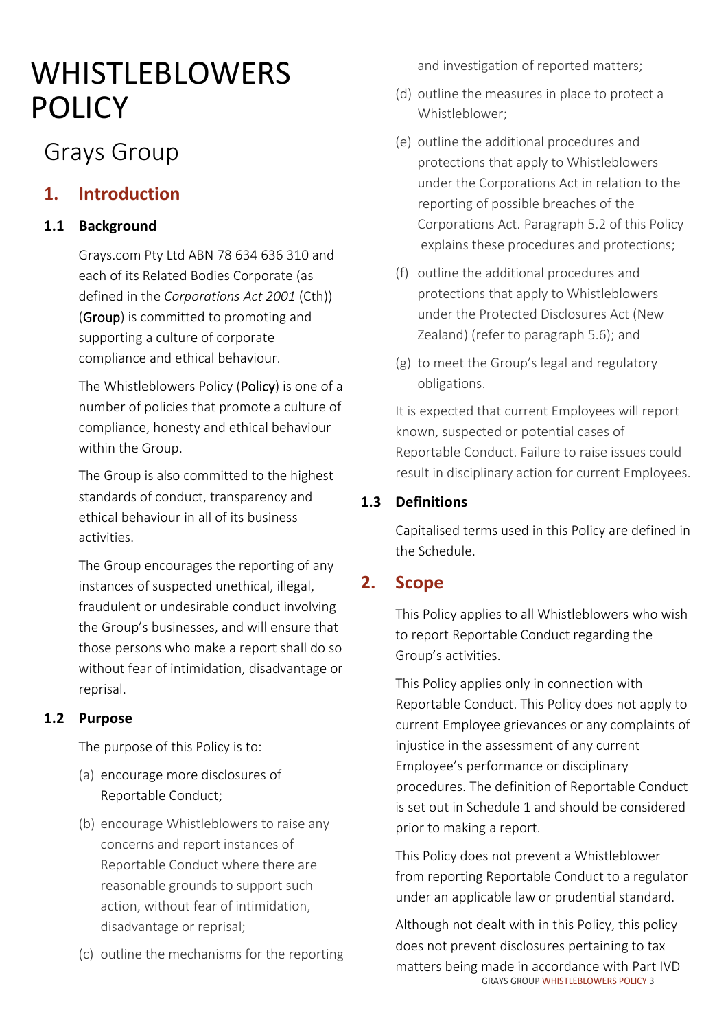# <span id="page-1-0"></span>WHISTLEBLOWERS **POLICY**

## <span id="page-1-1"></span>Grays Group

## <span id="page-1-2"></span>**1. Introduction**

## <span id="page-1-3"></span>**1.1 Background**

Grays.com Pty Ltd ABN 78 634 636 310 and each of its Related Bodies Corporate (as defined in the *Corporations Act 2001* (Cth)) (Group) is committed to promoting and supporting a culture of corporate compliance and ethical behaviour.

The Whistleblowers Policy (Policy) is one of a number of policies that promote a culture of compliance, honesty and ethical behaviour within the Group.

The Group is also committed to the highest standards of conduct, transparency and ethical behaviour in all of its business activities.

The Group encourages the reporting of any instances of suspected unethical, illegal, fraudulent or undesirable conduct involving the Group's businesses, and will ensure that those persons who make a report shall do so without fear of intimidation, disadvantage or reprisal.

## <span id="page-1-4"></span>**1.2 Purpose**

The purpose of this Policy is to:

- (a) encourage more disclosures of Reportable Conduct;
- (b) encourage Whistleblowers to raise any concerns and report instances of Reportable Conduct where there are reasonable grounds to support such action, without fear of intimidation, disadvantage or reprisal;
- (c) outline the mechanisms for the reporting

and investigation of reported matters;

- (d) outline the measures in place to protect a Whistleblower;
- (e) outline the additional procedures and protections that apply to Whistleblowers under the Corporations Act in relation to the reporting of possible breaches of the Corporations Act. Paragraph 5.2 of this Policy explains these procedures and protections;
- (f) outline the additional procedures and protections that apply to Whistleblowers under the Protected Disclosures Act (New Zealand) (refer to paragraph 5.6); and
- (g) to meet the Group's legal and regulatory obligations.

It is expected that current Employees will report known, suspected or potential cases of Reportable Conduct. Failure to raise issues could result in disciplinary action for current Employees.

## <span id="page-1-5"></span>**1.3 Definitions**

Capitalised terms used in this Policy are defined in the Schedule.

## <span id="page-1-6"></span>**2. Scope**

This Policy applies to all Whistleblowers who wish to report Reportable Conduct regarding the Group's activities.

This Policy applies only in connection with Reportable Conduct. This Policy does not apply to current Employee grievances or any complaints of injustice in the assessment of any current Employee's performance or disciplinary procedures. The definition of Reportable Conduct is set out in Schedule 1 and should be considered prior to making a report.

This Policy does not prevent a Whistleblower from reporting Reportable Conduct to a regulator under an applicable law or prudential standard.

 GRAYS GROUP WHISTLEBLOWERS POLICY 3 Although not dealt with in this Policy, this policy does not prevent disclosures pertaining to tax matters being made in accordance with Part IVD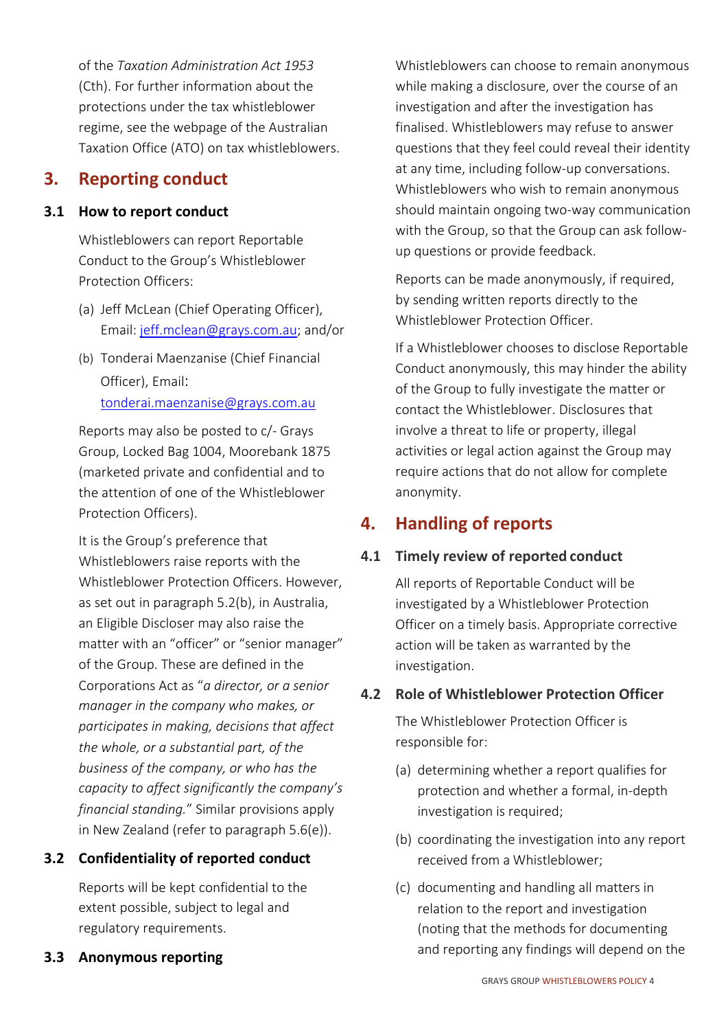of the *Taxation Administration Act 1953* (Cth). For further information about the protections under the tax whistleblower regime, see the webpage of the Australian Taxation Office (ATO) on tax whistleblowers.

## <span id="page-2-0"></span>**3. Reporting conduct**

#### <span id="page-2-1"></span>**3.1 How to report conduct**

Whistleblowers can report Reportable Conduct to the Group's Whistleblower Protection Officers:

- (a) Jeff McLean (Chief Operating Officer), Email: [jeff.mclean@grays.com.au;](mailto:jeff.mclean@grays.com.au) and/or
- (b) Tonderai Maenzanise (Chief Financial Officer), Email: [tonderai.maenzanise@grays.com.au](mailto:tonderai.maenzanise@grays.com.au)

Reports may also be posted to c/- Grays Group, Locked Bag 1004, Moorebank 1875 (marketed private and confidential and to the attention of one of the Whistleblower Protection Officers).

It is the Group's preference that Whistleblowers raise reports with the Whistleblower Protection Officers. However, as set out in paragraph 5.2(b), in Australia, an Eligible Discloser may also raise the matter with an "officer" or "senior manager" of the Group. These are defined in the Corporations Act as "*a director, or a senior manager in the company who makes, or participates in making, decisions that affect the whole, or a substantial part, of the business of the company, or who has the capacity to affect significantly the company's financial standing.*" Similar provisions apply in New Zealand (refer to paragraph 5.6(e)).

## <span id="page-2-2"></span>**3.2 Confidentiality of reported conduct**

<span id="page-2-3"></span>Reports will be kept confidential to the extent possible, subject to legal and regulatory requirements.

Whistleblowers can choose to remain anonymous while making a disclosure, over the course of an investigation and after the investigation has finalised. Whistleblowers may refuse to answer questions that they feel could reveal their identity at any time, including follow-up conversations. Whistleblowers who wish to remain anonymous should maintain ongoing two-way communication with the Group, so that the Group can ask followup questions or provide feedback.

Reports can be made anonymously, if required, by sending written reports directly to the Whistleblower Protection Officer.

If a Whistleblower chooses to disclose Reportable Conduct anonymously, this may hinder the ability of the Group to fully investigate the matter or contact the Whistleblower. Disclosures that involve a threat to life or property, illegal activities or legal action against the Group may require actions that do not allow for complete anonymity.

## <span id="page-2-4"></span>**4. Handling of reports**

## **4.1 Timely review of reported conduct**

All reports of Reportable Conduct will be investigated by a Whistleblower Protection Officer on a timely basis. Appropriate corrective action will be taken as warranted by the investigation.

## **4.2 Role of Whistleblower Protection Officer**

The Whistleblower Protection Officer is responsible for:

- (a) determining whether a report qualifies for protection and whether a formal, in-depth investigation is required;
- (b) coordinating the investigation into any report received from a Whistleblower;
- (c) documenting and handling all matters in relation to the report and investigation (noting that the methods for documenting and reporting any findings will depend on the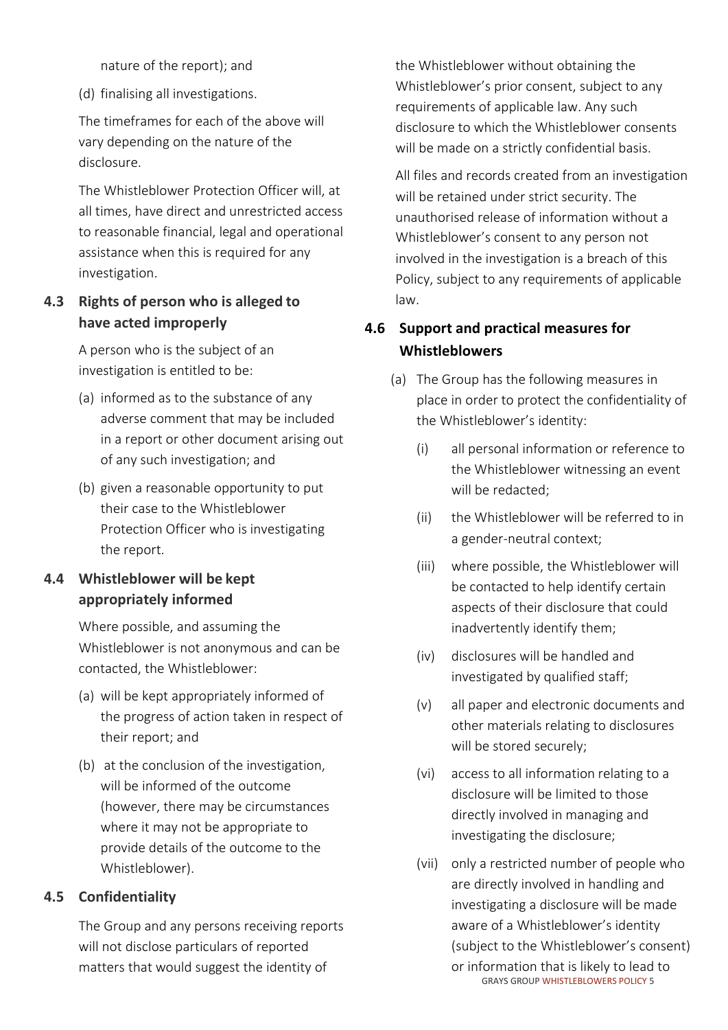nature of the report); and

(d) finalising all investigations.

The timeframes for each of the above will vary depending on the nature of the disclosure.

The Whistleblower Protection Officer will, at all times, have direct and unrestricted access to reasonable financial, legal and operational assistance when this is required for any investigation.

## **4.3 Rights of person who is alleged to have acted improperly**

A person who is the subject of an investigation is entitled to be:

- (a) informed as to the substance of any adverse comment that may be included in a report or other document arising out of any such investigation; and
- (b) given a reasonable opportunity to put their case to the Whistleblower Protection Officer who is investigating the report.

## **4.4 Whistleblower will be kept appropriately informed**

Where possible, and assuming the Whistleblower is not anonymous and can be contacted, the Whistleblower:

- (a) will be kept appropriately informed of the progress of action taken in respect of their report; and
- (b) at the conclusion of the investigation, will be informed of the outcome (however, there may be circumstances where it may not be appropriate to provide details of the outcome to the Whistleblower).

## **4.5 Confidentiality**

The Group and any persons receiving reports will not disclose particulars of reported matters that would suggest the identity of

the Whistleblower without obtaining the Whistleblower's prior consent, subject to any requirements of applicable law. Any such disclosure to which the Whistleblower consents will be made on a strictly confidential basis.

All files and records created from an investigation will be retained under strict security. The unauthorised release of information without a Whistleblower's consent to any person not involved in the investigation is a breach of this Policy, subject to any requirements of applicable law.

## **4.6 Support and practical measures for Whistleblowers**

- (a) The Group has the following measures in place in order to protect the confidentiality of the Whistleblower's identity:
	- (i) all personal information or reference to the Whistleblower witnessing an event will be redacted;
	- (ii) the Whistleblower will be referred to in a gender-neutral context;
	- (iii) where possible, the Whistleblower will be contacted to help identify certain aspects of their disclosure that could inadvertently identify them;
	- (iv) disclosures will be handled and investigated by qualified staff;
	- (v) all paper and electronic documents and other materials relating to disclosures will be stored securely;
	- (vi) access to all information relating to a disclosure will be limited to those directly involved in managing and investigating the disclosure;
	- GRAYS GROUP WHISTLEBLOWERS POLICY 5 (vii) only a restricted number of people who are directly involved in handling and investigating a disclosure will be made aware of a Whistleblower's identity (subject to the Whistleblower's consent) or information that is likely to lead to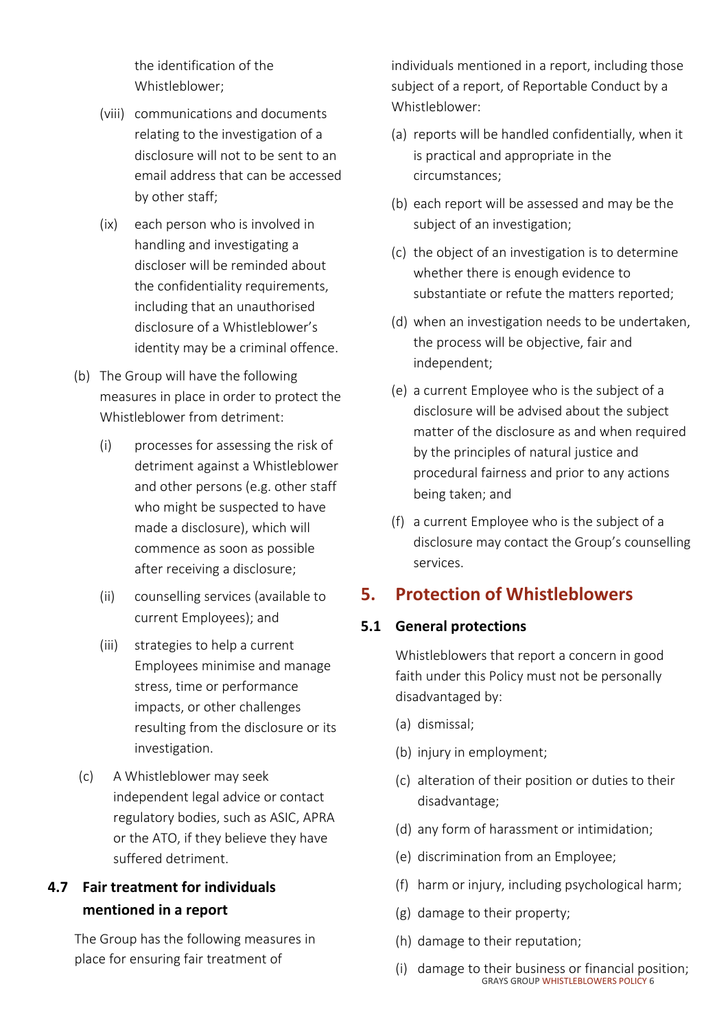the identification of the Whistleblower;

- (viii) communications and documents relating to the investigation of a disclosure will not to be sent to an email address that can be accessed by other staff;
- (ix) each person who is involved in handling and investigating a discloser will be reminded about the confidentiality requirements, including that an unauthorised disclosure of a Whistleblower's identity may be a criminal offence.
- (b) The Group will have the following measures in place in order to protect the Whistleblower from detriment:
	- (i) processes for assessing the risk of detriment against a Whistleblower and other persons (e.g. other staff who might be suspected to have made a disclosure), which will commence as soon as possible after receiving a disclosure;
	- (ii) counselling services (available to current Employees); and
	- (iii) strategies to help a current Employees minimise and manage stress, time or performance impacts, or other challenges resulting from the disclosure or its investigation.
- (c) A Whistleblower may seek independent legal advice or contact regulatory bodies, such as ASIC, APRA or the ATO, if they believe they have suffered detriment.

## **4.7 Fair treatment for individuals mentioned in a report**

The Group has the following measures in place for ensuring fair treatment of

individuals mentioned in a report, including those subject of a report, of Reportable Conduct by a Whistleblower:

- (a) reports will be handled confidentially, when it is practical and appropriate in the circumstances;
- (b) each report will be assessed and may be the subject of an investigation;
- (c) the object of an investigation is to determine whether there is enough evidence to substantiate or refute the matters reported;
- (d) when an investigation needs to be undertaken, the process will be objective, fair and independent;
- (e) a current Employee who is the subject of a disclosure will be advised about the subject matter of the disclosure as and when required by the principles of natural justice and procedural fairness and prior to any actions being taken; and
- (f) a current Employee who is the subject of a disclosure may contact the Group's counselling services.

## <span id="page-4-0"></span>**5. Protection of Whistleblowers**

## <span id="page-4-1"></span>**5.1 General protections**

Whistleblowers that report a concern in good faith under this Policy must not be personally disadvantaged by:

- (a) dismissal;
- (b) injury in employment;
- (c) alteration of their position or duties to their disadvantage;
- (d) any form of harassment or intimidation;
- (e) discrimination from an Employee;
- (f) harm or injury, including psychological harm;
- (g) damage to their property;
- (h) damage to their reputation;
- GRAYS GROUP WHISTLEBLOWERS POLICY 6 (i) damage to their business or financial position;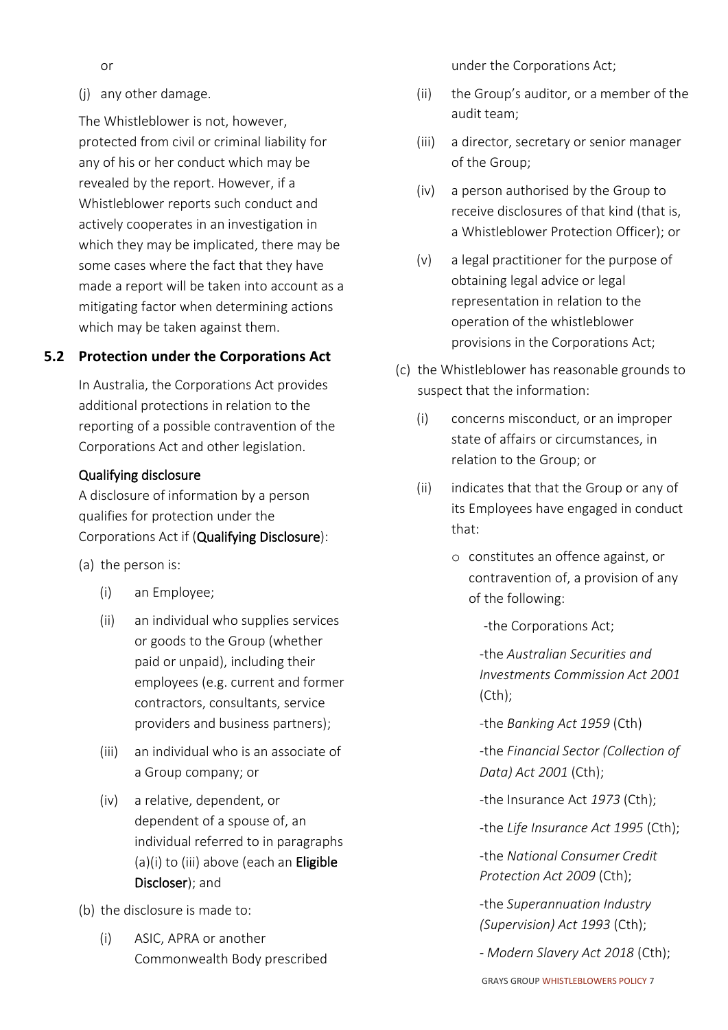or

(j) any other damage.

The Whistleblower is not, however, protected from civil or criminal liability for any of his or her conduct which may be revealed by the report. However, if a Whistleblower reports such conduct and actively cooperates in an investigation in which they may be implicated, there may be some cases where the fact that they have made a report will be taken into account as a mitigating factor when determining actions which may be taken against them.

#### <span id="page-5-0"></span>**5.2 Protection under the Corporations Act**

In Australia, the Corporations Act provides additional protections in relation to the reporting of a possible contravention of the Corporations Act and other legislation.

#### Qualifying disclosure

A disclosure of information by a person qualifies for protection under the Corporations Act if (Qualifying Disclosure):

- (a) the person is:
	- (i) an Employee;
	- (ii) an individual who supplies services or goods to the Group (whether paid or unpaid), including their employees (e.g. current and former contractors, consultants, service providers and business partners);
	- (iii) an individual who is an associate of a Group company; or
	- (iv) a relative, dependent, or dependent of a spouse of, an individual referred to in paragraphs (a)(i) to (iii) above (each an Eligible Discloser); and
- (b) the disclosure is made to:
	- (i) ASIC, APRA or another Commonwealth Body prescribed

under the Corporations Act;

- (ii) the Group's auditor, or a member of the audit team;
- (iii) a director, secretary or senior manager of the Group;
- (iv) a person authorised by the Group to receive disclosures of that kind (that is, a Whistleblower Protection Officer); or
- (v) a legal practitioner for the purpose of obtaining legal advice or legal representation in relation to the operation of the whistleblower provisions in the Corporations Act;
- (c) the Whistleblower has reasonable grounds to suspect that the information:
	- (i) concerns misconduct, or an improper state of affairs or circumstances, in relation to the Group; or
	- (ii) indicates that that the Group or any of its Employees have engaged in conduct that:
		- o constitutes an offence against, or contravention of, a provision of any of the following:

-the Corporations Act;

-the *Australian Securities and Investments Commission Act 2001* (Cth);

-the *Banking Act 1959* (Cth)

-the *Financial Sector (Collection of Data) Act 2001* (Cth);

-the Insurance Act *1973* (Cth);

-the *Life Insurance Act 1995* (Cth);

-the *National Consumer Credit Protection Act 2009* (Cth);

-the *Superannuation Industry (Supervision) Act 1993* (Cth);

- *Modern Slavery Act 2018* (Cth);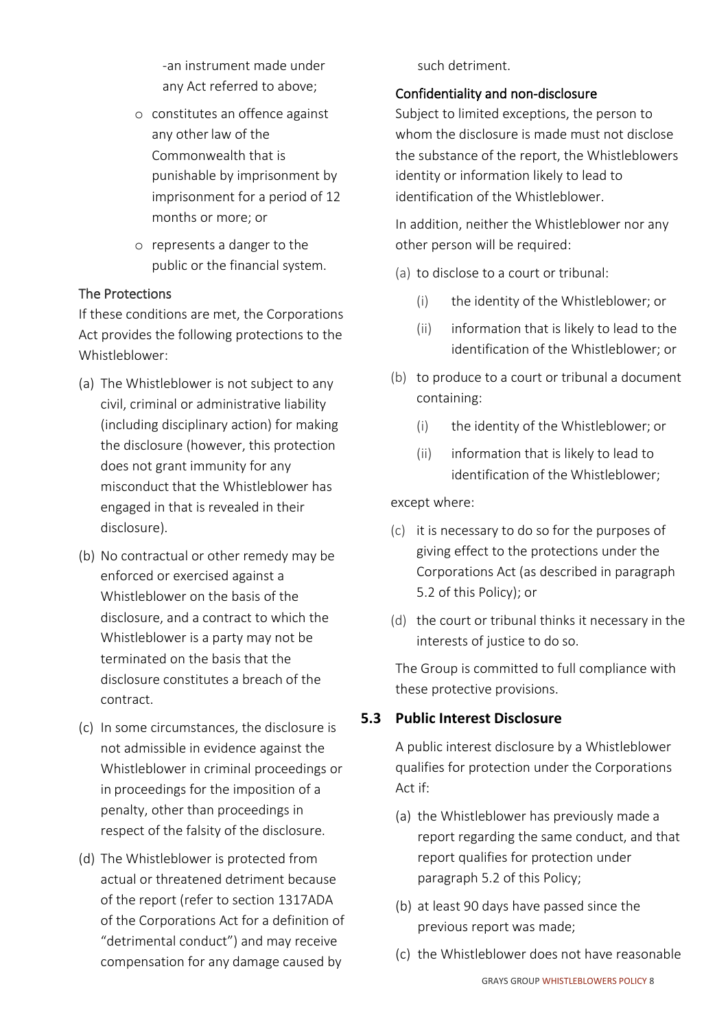-an instrument made under any Act referred to above;

- o constitutes an offence against any other law of the Commonwealth that is punishable by imprisonment by imprisonment for a period of 12 months or more; or
- o represents a danger to the public or the financial system.

#### The Protections

If these conditions are met, the Corporations Act provides the following protections to the Whistleblower:

- (a) The Whistleblower is not subject to any civil, criminal or administrative liability (including disciplinary action) for making the disclosure (however, this protection does not grant immunity for any misconduct that the Whistleblower has engaged in that is revealed in their disclosure).
- (b) No contractual or other remedy may be enforced or exercised against a Whistleblower on the basis of the disclosure, and a contract to which the Whistleblower is a party may not be terminated on the basis that the disclosure constitutes a breach of the contract.
- (c) In some circumstances, the disclosure is not admissible in evidence against the Whistleblower in criminal proceedings or in proceedings for the imposition of a penalty, other than proceedings in respect of the falsity of the disclosure.
- (d) The Whistleblower is protected from actual or threatened detriment because of the report (refer to section 1317ADA of the Corporations Act for a definition of "detrimental conduct") and may receive compensation for any damage caused by

such detriment.

#### Confidentiality and non-disclosure

Subject to limited exceptions, the person to whom the disclosure is made must not disclose the substance of the report, the Whistleblowers identity or information likely to lead to identification of the Whistleblower.

In addition, neither the Whistleblower nor any other person will be required:

- (a) to disclose to a court or tribunal:
	- (i) the identity of the Whistleblower; or
	- (ii) information that is likely to lead to the identification of the Whistleblower; or
- (b) to produce to a court or tribunal a document containing:
	- (i) the identity of the Whistleblower; or
	- (ii) information that is likely to lead to identification of the Whistleblower;

except where:

- (c) it is necessary to do so for the purposes of giving effect to the protections under the Corporations Act (as described in paragraph 5.2 of this Policy); or
- (d) the court or tribunal thinks it necessary in the interests of justice to do so.

The Group is committed to full compliance with these protective provisions.

## <span id="page-6-0"></span>**5.3 Public Interest Disclosure**

A public interest disclosure by a Whistleblower qualifies for protection under the Corporations Act if:

- (a) the Whistleblower has previously made a report regarding the same conduct, and that report qualifies for protection under paragraph 5.2 of this Policy;
- (b) at least 90 days have passed since the previous report was made;
- (c) the Whistleblower does not have reasonable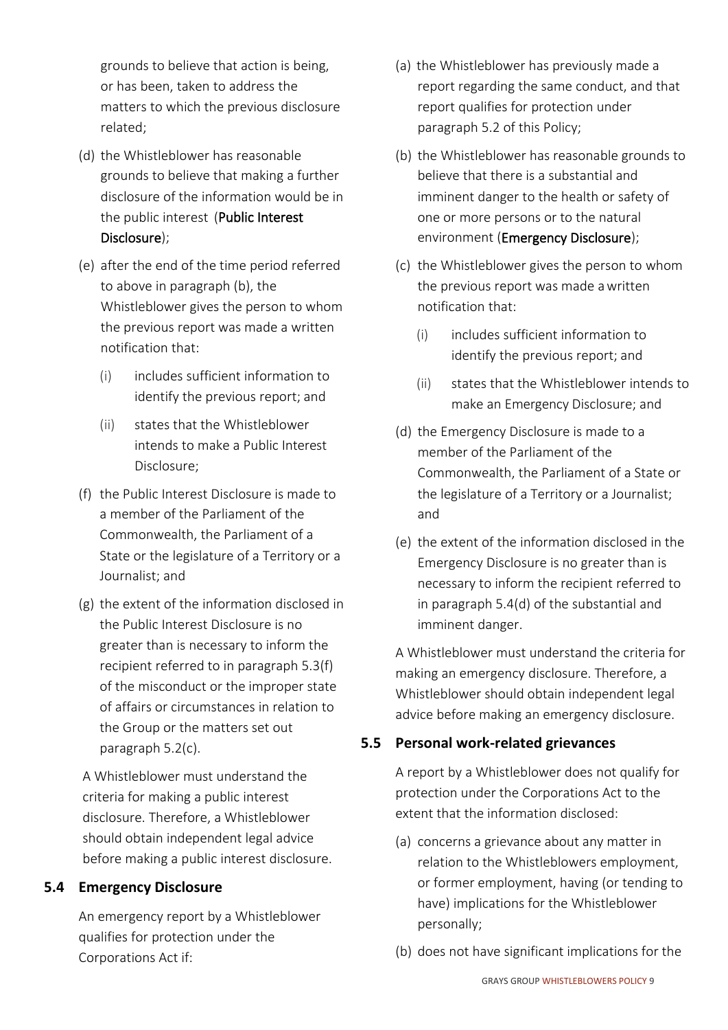grounds to believe that action is being, or has been, taken to address the matters to which the previous disclosure related;

- (d) the Whistleblower has reasonable grounds to believe that making a further disclosure of the information would be in the public interest (Public Interest Disclosure);
- (e) after the end of the time period referred to above in paragraph (b), the Whistleblower gives the person to whom the previous report was made a written notification that:
	- (i) includes sufficient information to identify the previous report; and
	- (ii) states that the Whistleblower intends to make a Public Interest Disclosure;
- (f) the Public Interest Disclosure is made to a member of the Parliament of the Commonwealth, the Parliament of a State or the legislature of a Territory or a Journalist; and
- (g) the extent of the information disclosed in the Public Interest Disclosure is no greater than is necessary to inform the recipient referred to in paragrap[h 5.3\(f\)](#page-6-0) of the misconduct or the improper state of affairs or circumstances in relation to the Group or the matters set out paragraph 5.2(c).

A Whistleblower must understand the criteria for making a public interest disclosure. Therefore, a Whistleblower should obtain independent legal advice before making a public interest disclosure.

## <span id="page-7-0"></span>**5.4 Emergency Disclosure**

An emergency report by a Whistleblower qualifies for protection under the Corporations Act if:

- (a) the Whistleblower has previously made a report regarding the same conduct, and that report qualifies for protection under paragraph 5.2 of this Policy;
- (b) the Whistleblower has reasonable grounds to believe that there is a substantial and imminent danger to the health or safety of one or more persons or to the natural environment (Emergency Disclosure);
- (c) the Whistleblower gives the person to whom the previous report was made a written notification that:
	- (i) includes sufficient information to identify the previous report; and
	- (ii) states that the Whistleblower intends to make an Emergency Disclosure; and
- (d) the Emergency Disclosure is made to a member of the Parliament of the Commonwealth, the Parliament of a State or the legislature of a Territory or a Journalist; and
- (e) the extent of the information disclosed in the Emergency Disclosure is no greater than is necessary to inform the recipient referred to in parag[raph 5.4\(d\) o](#page-7-0)f the substantial and imminent danger.

A Whistleblower must understand the criteria for making an emergency disclosure. Therefore, a Whistleblower should obtain independent legal advice before making an emergency disclosure.

## <span id="page-7-1"></span>**5.5 Personal work-related grievances**

A report by a Whistleblower does not qualify for protection under the Corporations Act to the extent that the information disclosed:

- (a) concerns a grievance about any matter in relation to the Whistleblowers employment, or former employment, having (or tending to have) implications for the Whistleblower personally;
- (b) does not have significant implications for the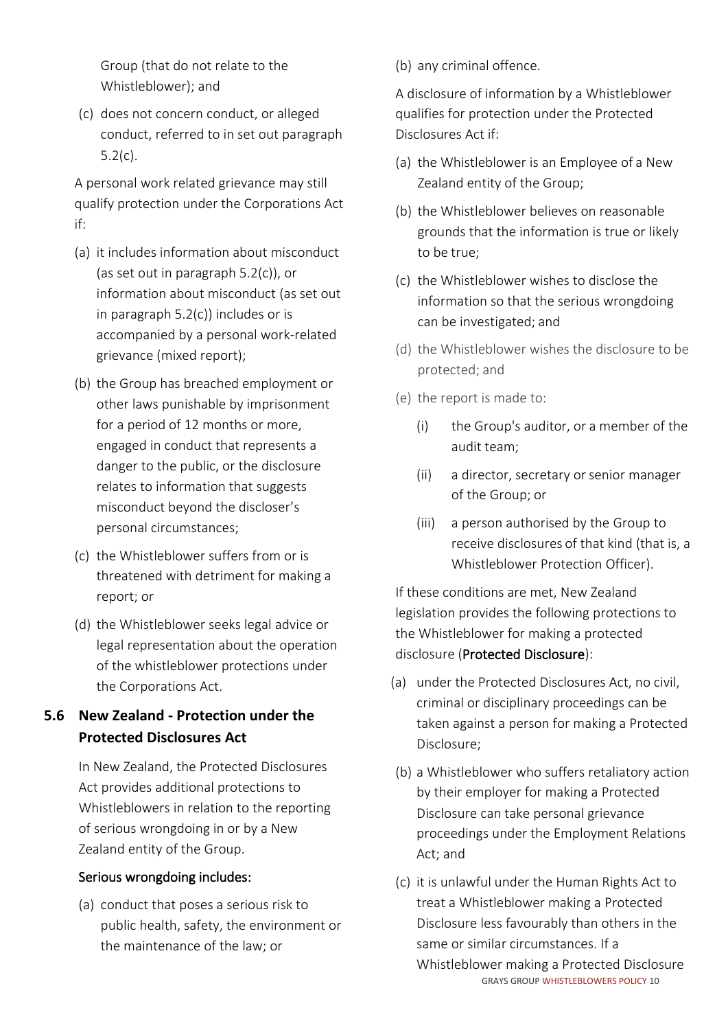Group (that do not relate to the Whistleblower); and

(c) does not concern conduct, or alleged conduct, referred to in set out paragraph 5.2(c).

A personal work related grievance may still qualify protection under the Corporations Act if:

- (a) it includes information about misconduct (as set out in paragraph 5.2(c)), or information about misconduct (as set out in paragraph 5.2(c)) includes or is accompanied by a personal work-related grievance (mixed report);
- (b) the Group has breached employment or other laws punishable by imprisonment for a period of 12 months or more, engaged in conduct that represents a danger to the public, or the disclosure relates to information that suggests misconduct beyond the discloser's personal circumstances;
- (c) the Whistleblower suffers from or is threatened with detriment for making a report; or
- (d) the Whistleblower seeks legal advice or legal representation about the operation of the whistleblower protections under the Corporations Act.

## <span id="page-8-0"></span>**5.6 New Zealand - Protection under the Protected Disclosures Act**

In New Zealand, the Protected Disclosures Act provides additional protections to Whistleblowers in relation to the reporting of serious wrongdoing in or by a New Zealand entity of the Group.

## Serious wrongdoing includes:

(a) conduct that poses a serious risk to public health, safety, the environment or the maintenance of the law; or

(b) any criminal offence.

A disclosure of information by a Whistleblower qualifies for protection under the Protected Disclosures Act if:

- (a) the Whistleblower is an Employee of a New Zealand entity of the Group;
- (b) the Whistleblower believes on reasonable grounds that the information is true or likely to be true;
- (c) the Whistleblower wishes to disclose the information so that the serious wrongdoing can be investigated; and
- (d) the Whistleblower wishes the disclosure to be protected; and
- (e) the report is made to:
	- (i) the Group's auditor, or a member of the audit team;
	- (ii) a director, secretary or senior manager of the Group; or
	- (iii) a person authorised by the Group to receive disclosures of that kind (that is, a Whistleblower Protection Officer).

If these conditions are met, New Zealand legislation provides the following protections to the Whistleblower for making a protected disclosure (Protected Disclosure):

- (a) under the Protected Disclosures Act, no civil, criminal or disciplinary proceedings can be taken against a person for making a Protected Disclosure;
- (b) a Whistleblower who suffers retaliatory action by their employer for making a Protected Disclosure can take personal grievance proceedings under the Employment Relations Act; and
- GRAYS GROUP WHISTLEBLOWERS POLICY 10 (c) it is unlawful under the Human Rights Act to treat a Whistleblower making a Protected Disclosure less favourably than others in the same or similar circumstances. If a Whistleblower making a Protected Disclosure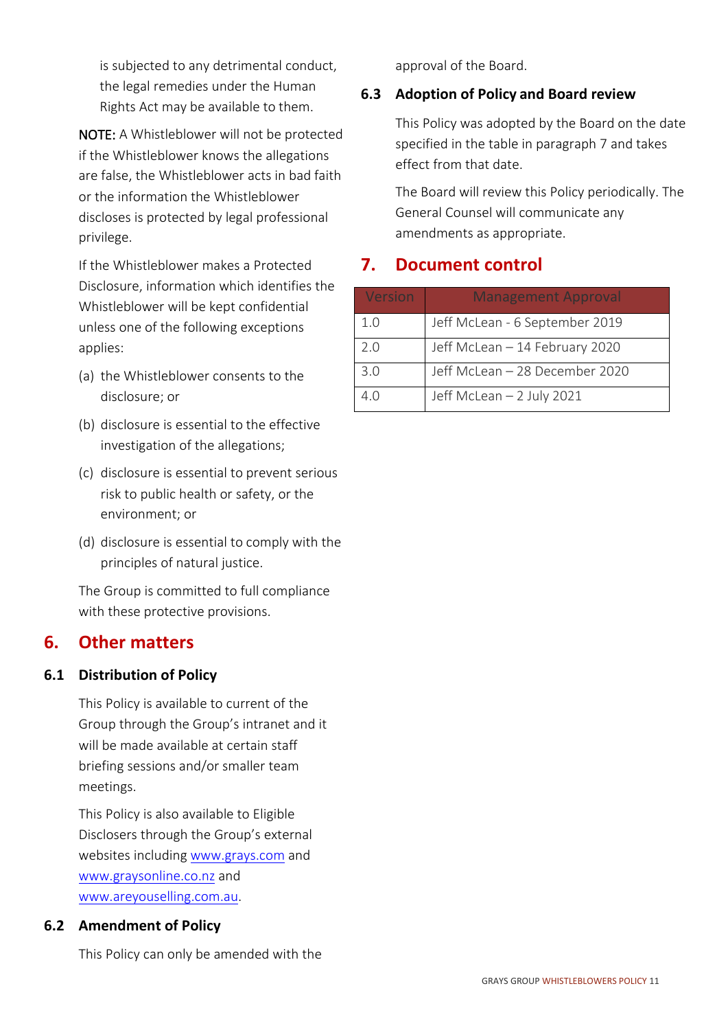is subjected to any detrimental conduct, the legal remedies under the Human Rights Act may be available to them.

NOTE: A Whistleblower will not be protected if the Whistleblower knows the allegations are false, the Whistleblower acts in bad faith or the information the Whistleblower discloses is protected by legal professional privilege.

If the Whistleblower makes a Protected Disclosure, information which identifies the Whistleblower will be kept confidential unless one of the following exceptions applies:

- (a) the Whistleblower consents to the disclosure; or
- (b) disclosure is essential to the effective investigation of the allegations;
- (c) disclosure is essential to prevent serious risk to public health or safety, or the environment; or
- (d) disclosure is essential to comply with the principles of natural justice.

The Group is committed to full compliance with these protective provisions.

## <span id="page-9-0"></span>**6. Other matters**

#### <span id="page-9-1"></span>**6.1 Distribution of Policy**

This Policy is available to current of the Group through the Group's intranet and it will be made available at certain staff briefing sessions and/or smaller team meetings.

This Policy is also available to Eligible Disclosers through the Group's external websites including [www.grays.com](http://www.grays.com/) and [www.graysonline.co.nz](http://www.graysonline.co.nz/) and [www.areyouselling.com.au.](http://www.areyouselling.com.au/)

## <span id="page-9-2"></span>**6.2 Amendment of Policy**

This Policy can only be amended with the

approval of the Board.

## <span id="page-9-3"></span>**6.3 Adoption of Policy and Board review**

This Policy was adopted by the Board on the date specified in the table in paragraph 7 and takes effect from that date.

The Board will review this Policy periodically. The General Counsel will communicate any amendments as appropriate.

## <span id="page-9-4"></span>**7. Document control**

| Version | <b>Management Approval</b>     |
|---------|--------------------------------|
| 1.0     | Jeff McLean - 6 September 2019 |
| 2.0     | Jeff McLean - 14 February 2020 |
| 3.0     | Jeff McLean - 28 December 2020 |
| 4.0     | Jeff McLean - 2 July 2021      |